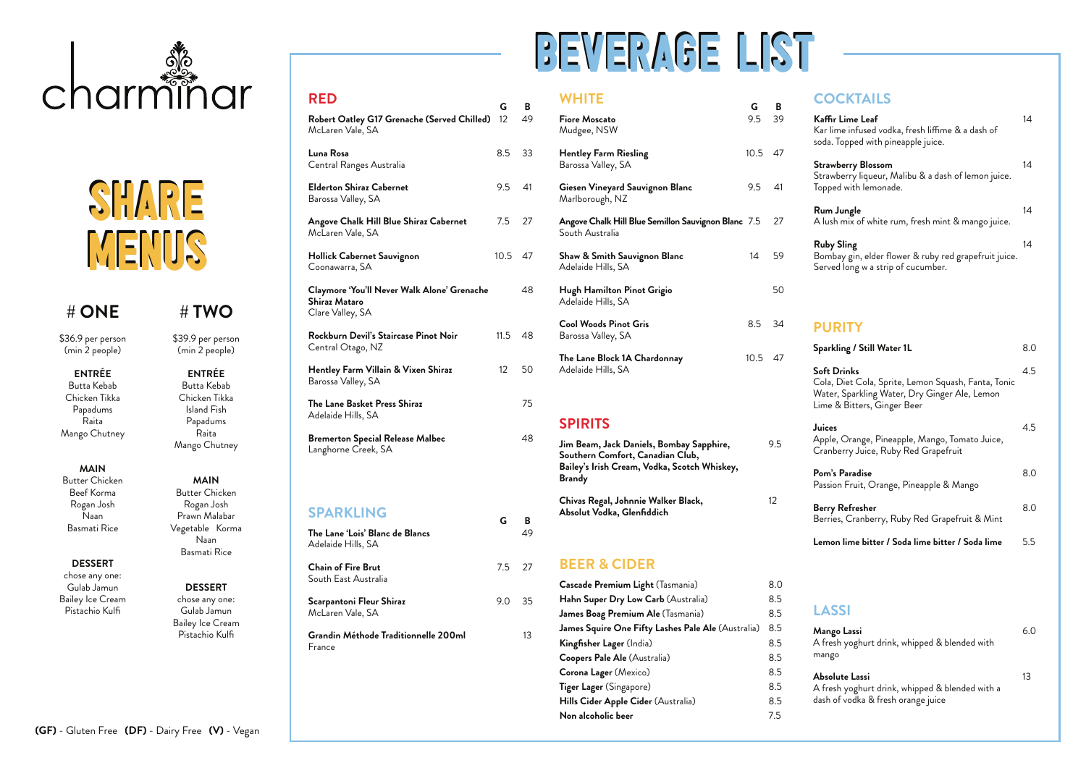### **# ONE**

\$36.9 per person (min 2 people)

**ENTRÉE** Butta Kebab Chicken Tikka Papadums Raita Mango Chutney

**MAIN** Butter Chicken Beef Korma Rogan Josh Naan Basmati Rice

### **DESSERT**

chose any one: Gulab Jamun Bailey Ice Cream Pistachio Kulfi

## **# TWO**

\$39.9 per person (min 2 people)

**ENTRÉE** Butta Kebab Chicken Tikka Island Fish Papadums Raita Mango Chutney

**MAIN** Butter Chicken Rogan Josh Prawn Malabar Vegetable Korma Naan Basmati Rice

**DESSERT** chose any one: Gulab Jamun Bailey Ice Cream Pistachio Kulfi

| Robert Oatley G17 Grenache (Served Chilled)<br>McLaren Vale, SA                  | G<br>12 <sup>2</sup> | B<br>49 |
|----------------------------------------------------------------------------------|----------------------|---------|
| Luna Rosa<br>Central Ranges Australia                                            | 8.5 33               |         |
| <b>Elderton Shiraz Cabernet</b><br>Barossa Valley, SA                            | 9.5 41               |         |
| Angove Chalk Hill Blue Shiraz Cabernet<br>McLaren Vale, SA                       | 7.5                  | 27      |
| <b>Hollick Cabernet Sauvignon</b><br>Coonawarra, SA                              | 10.5 47              |         |
| Claymore 'You'll Never Walk Alone' Grenache<br>Shiraz Mataro<br>Clare Valley, SA |                      | 48      |
| Rockburn Devil's Staircase Pinot Noir<br>Central Otago, NZ                       | 11.5 48              |         |
| Hentley Farm Villain & Vixen Shiraz<br>Barossa Valley, SA                        | 12 <sup>12</sup>     | 50      |
| The Lane Basket Press Shiraz<br>Adelaide Hills, SA                               |                      | 75      |
| Bremerton Special Release Malbec<br>Langhorne Creek, SA                          |                      | 48      |
| <b>SPARKLING</b><br>The Lane 'Lois' Blanc de Blancs<br>Adelaide Hills, SA        | G                    | B<br>49 |
| <b>Chain of Fire Brut</b><br>South East Australia                                | 7.5                  | 27      |
| Scarpantoni Fleur Shiraz<br>McLaren Vale, SA                                     | 9.0                  | 35      |
| Grandin Méthode Traditionnelle 200ml<br>France                                   |                      | 13      |

# BEVERAGE LIST

### **RED**

| <b>WHITE</b>                                                                 | G    | B   | <b>COCKTAILS</b>                                                                                                                                          |     |
|------------------------------------------------------------------------------|------|-----|-----------------------------------------------------------------------------------------------------------------------------------------------------------|-----|
| <b>Fiore Moscato</b><br>Mudgee, NSW                                          | 9.5  | 39  | Kaffir Lime Leaf<br>Kar lime infused vodka, fresh liffime & a dash of<br>soda. Topped with pineapple juice.                                               | 14  |
| <b>Hentley Farm Riesling</b>                                                 | 10.5 | 47  |                                                                                                                                                           |     |
| Barossa Valley, SA                                                           |      |     | <b>Strawberry Blossom</b><br>Strawberry liqueur, Malibu & a dash of lemon juice.                                                                          | 14  |
| Giesen Vineyard Sauvignon Blanc<br>Marlborough, NZ                           | 9.5  | 41  | Topped with lemonade.                                                                                                                                     |     |
| Angove Chalk Hill Blue Semillon Sauvignon Blanc 7.5<br>South Australia       |      | 27  | <b>Rum Jungle</b><br>A lush mix of white rum, fresh mint & mango juice.                                                                                   | 14  |
| <b>Shaw &amp; Smith Sauvignon Blanc</b><br>Adelaide Hills, SA                | 14   | 59  | <b>Ruby Sling</b><br>Bombay gin, elder flower & ruby red grapefruit juice.<br>Served long w a strip of cucumber.                                          | 14  |
| <b>Hugh Hamilton Pinot Grigio</b><br>Adelaide Hills, SA                      |      | 50  |                                                                                                                                                           |     |
| <b>Cool Woods Pinot Gris</b>                                                 | 8.5  | 34  | <b>PURITY</b>                                                                                                                                             |     |
| Barossa Valley, SA                                                           |      |     | <b>Sparkling / Still Water 1L</b>                                                                                                                         | 8.0 |
| The Lane Block 1A Chardonnay<br>Adelaide Hills, SA                           | 10.5 | 47  | <b>Soft Drinks</b><br>Cola, Diet Cola, Sprite, Lemon Squash, Fanta, Tonic<br>Water, Sparkling Water, Dry Ginger Ale, Lemon<br>Lime & Bitters, Ginger Beer | 4.5 |
| <b>SPIRITS</b>                                                               |      |     | <b>Juices</b>                                                                                                                                             | 4.5 |
| Jim Beam, Jack Daniels, Bombay Sapphire,<br>Southern Comfort, Canadian Club, |      | 9.5 | Apple, Orange, Pineapple, Mango, Tomato Juice,<br>Cranberry Juice, Ruby Red Grapefruit                                                                    |     |
| Bailey's Irish Cream, Vodka, Scotch Whiskey,<br><b>Brandy</b>                |      |     | Pom's Paradise<br>Passion Fruit, Orange, Pineapple & Mango                                                                                                | 8.0 |
| Chivas Regal, Johnnie Walker Black,<br>Absolut Vodka, Glenfiddich            |      | 12  | <b>Berry Refresher</b><br>Berries, Cranberry, Ruby Red Grapefruit & Mint                                                                                  | 8.0 |
|                                                                              |      |     | Lemon lime bitter / Soda lime bitter / Soda lime                                                                                                          | 5.5 |
| <b>BEER &amp; CIDER</b>                                                      |      |     |                                                                                                                                                           |     |
| Cascade Premium Light (Tasmania)                                             |      | 8.0 |                                                                                                                                                           |     |
| Hahn Super Dry Low Carb (Australia)                                          |      | 8.5 |                                                                                                                                                           |     |
| James Boag Premium Ale (Tasmania)                                            |      | 8.5 | <b>LASSI</b>                                                                                                                                              |     |
| James Squire One Fifty Lashes Pale Ale (Australia)                           |      | 8.5 | Mango Lassi                                                                                                                                               | 6.0 |
| Kingfisher Lager (India)                                                     |      | 8.5 | A fresh yoghurt drink, whipped & blended with                                                                                                             |     |
| Coopers Pale Ale (Australia)                                                 |      | 8.5 | mango                                                                                                                                                     |     |
| Corona Lager (Mexico)                                                        |      | 8.5 | <b>Absolute Lassi</b>                                                                                                                                     | 13  |
| Tiger Lager (Singapore)                                                      |      | 8.5 | A fresh yoghurt drink, whipped & blended with a                                                                                                           |     |
| Hills Cider Apple Cider (Australia)                                          |      | 8.5 | dash of vodka & fresh orange juice                                                                                                                        |     |
| Non alcoholic beer                                                           |      | 7.5 |                                                                                                                                                           |     |



# MENUS SHARE